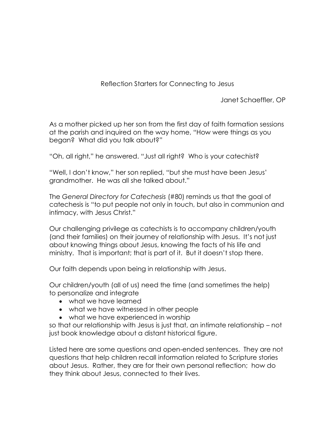## Reflection Starters for Connecting to Jesus

Janet Schaeffler, OP

As a mother picked up her son from the first day of faith formation sessions at the parish and inquired on the way home, "How were things as you began? What did you talk about?"

"Oh, all right," he answered. "Just all right? Who is your catechist?

"Well, I don't know," her son replied, "but she must have been Jesus' grandmother. He was all she talked about."

The *General Directory for Catechesis* (#80) reminds us that the goal of catechesis is "to put people not only in touch, but also in communion and intimacy, with Jesus Christ."

Our challenging privilege as catechists is to accompany children/youth (and their families) on their journey of relationship with Jesus. It's not just about knowing things about Jesus, knowing the facts of his life and ministry. That is important; that is part of it. But it doesn't stop there.

Our faith depends upon being in relationship with Jesus.

Our children/youth (all of us) need the time (and sometimes the help) to personalize and integrate

- what we have learned
- what we have witnessed in other people
- what we have experienced in worship

so that our relationship with Jesus is just that, an intimate relationship – not just book knowledge about a distant historical figure.

Listed here are some questions and open-ended sentences. They are not questions that help children recall information related to Scripture stories about Jesus. Rather, they are for their own personal reflection; how do they think about Jesus, connected to their lives.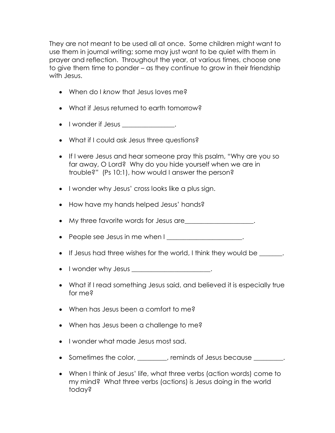They are not meant to be used all at once. Some children might want to use them in journal writing; some may just want to be quiet with them in prayer and reflection. Throughout the year, at various times, choose one to give them time to ponder – as they continue to grow in their friendship with Jesus.

- When do I *know* that Jesus loves me?
- What if Jesus returned to earth tomorrow?
- I wonder if Jesus \_\_\_\_\_\_\_\_\_\_\_\_\_\_.
- What if I could ask Jesus three questions?
- If I were Jesus and hear someone pray this psalm, "Why are you so far away, O Lord? Why do you hide yourself when we are in trouble?" (Ps 10:1), how would I answer the person?
- I wonder why Jesus' cross looks like a plus sign.
- How have my hands helped Jesus' hands?
- My three favorite words for Jesus are\_\_\_\_\_\_\_\_\_\_\_\_\_\_\_\_\_\_\_\_\_.
- People see Jesus in me when I \_\_\_\_\_\_\_\_\_\_\_\_\_\_\_\_\_\_\_\_\_\_\_.
- If Jesus had three wishes for the world, I think they would be
- $\bullet$  I wonder why Jesus  $\frac{1}{\sqrt{1-\frac{1}{2}}}\frac{1}{\sqrt{1-\frac{1}{2}}}\frac{1}{\sqrt{1-\frac{1}{2}}}\frac{1}{\sqrt{1-\frac{1}{2}}}\frac{1}{\sqrt{1-\frac{1}{2}}}\frac{1}{\sqrt{1-\frac{1}{2}}}\frac{1}{\sqrt{1-\frac{1}{2}}}\frac{1}{\sqrt{1-\frac{1}{2}}}\frac{1}{\sqrt{1-\frac{1}{2}}}\frac{1}{\sqrt{1-\frac{1}{2}}}\frac{1}{\sqrt{1-\frac{1}{2}}}\frac{1}{\sqrt{1-\frac{1}{2}}}\frac{1$
- What if I read something Jesus said, and believed it is especially true for me?
- When has Jesus been a comfort to me?
- When has Jesus been a challenge to me?
- I wonder what made Jesus most sad.
- Sometimes the color, \_\_\_\_\_\_\_, reminds of Jesus because \_\_\_\_\_\_\_.
- When I think of Jesus' life, what three verbs (action words) come to my mind? What three verbs (actions) is Jesus doing in the world today?